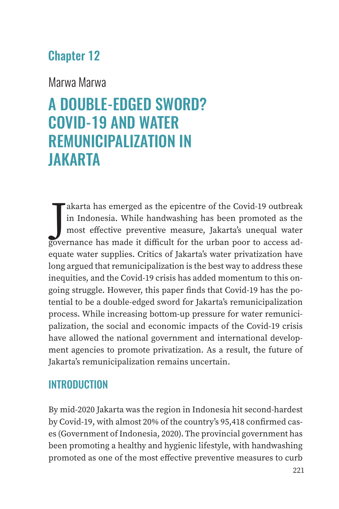## Chapter 12

## Marwa Marwa

# A DOUBLE-EDGED SWORD? COVID-19 AND WATER REMUNICIPALIZATION IN JAKARTA

akarta has emerged as the epicentre of the Covid-19 outbreak in Indonesia. While handwashing has been promoted as the most effective preventive measure, Jakarta's unequal water governance has made it difficult for the urba akarta has emerged as the epicentre of the Covid-19 outbreak in Indonesia. While handwashing has been promoted as the most effective preventive measure, Jakarta's unequal water equate water supplies. Critics of Jakarta's water privatization have long argued that remunicipalization is the best way to address these inequities, and the Covid-19 crisis has added momentum to this ongoing struggle. However, this paper finds that Covid-19 has the potential to be a double-edged sword for Jakarta's remunicipalization process. While increasing bottom-up pressure for water remunicipalization, the social and economic impacts of the Covid-19 crisis have allowed the national government and international development agencies to promote privatization. As a result, the future of Jakarta's remunicipalization remains uncertain.

## **INTRODUCTION**

By mid-2020 Jakarta was the region in Indonesia hit second-hardest by Covid-19, with almost 20% of the country's 95,418 confirmed cases (Government of Indonesia, 2020). The provincial government has been promoting a healthy and hygienic lifestyle, with handwashing promoted as one of the most effective preventive measures to curb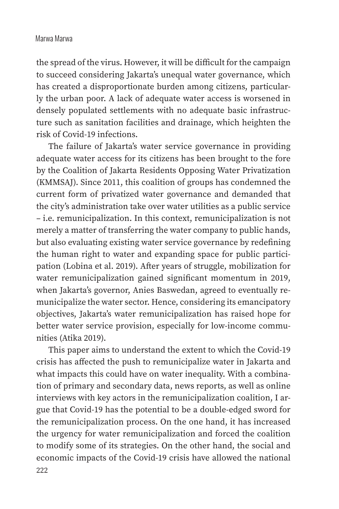the spread of the virus. However, it will be difficult for the campaign to succeed considering Jakarta's unequal water governance, which has created a disproportionate burden among citizens, particularly the urban poor. A lack of adequate water access is worsened in densely populated settlements with no adequate basic infrastructure such as sanitation facilities and drainage, which heighten the risk of Covid-19 infections.

The failure of Jakarta's water service governance in providing adequate water access for its citizens has been brought to the fore by the Coalition of Jakarta Residents Opposing Water Privatization (KMMSAJ). Since 2011, this coalition of groups has condemned the current form of privatized water governance and demanded that the city's administration take over water utilities as a public service – i.e. remunicipalization. In this context, remunicipalization is not merely a matter of transferring the water company to public hands, but also evaluating existing water service governance by redefining the human right to water and expanding space for public participation (Lobina et al. 2019). After years of struggle, mobilization for water remunicipalization gained significant momentum in 2019, when Jakarta's governor, Anies Baswedan, agreed to eventually remunicipalize the water sector. Hence, considering its emancipatory objectives, Jakarta's water remunicipalization has raised hope for better water service provision, especially for low-income communities (Atika 2019).

This paper aims to understand the extent to which the Covid-19 crisis has affected the push to remunicipalize water in Jakarta and what impacts this could have on water inequality. With a combination of primary and secondary data, news reports, as well as online interviews with key actors in the remunicipalization coalition, I argue that Covid-19 has the potential to be a double-edged sword for the remunicipalization process. On the one hand, it has increased the urgency for water remunicipalization and forced the coalition to modify some of its strategies. On the other hand, the social and economic impacts of the Covid-19 crisis have allowed the national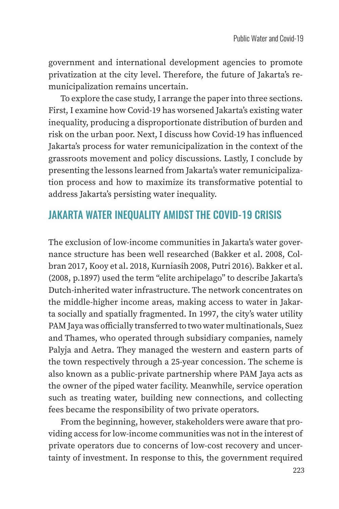government and international development agencies to promote privatization at the city level. Therefore, the future of Jakarta's remunicipalization remains uncertain.

To explore the case study, I arrange the paper into three sections. First, I examine how Covid-19 has worsened Jakarta's existing water inequality, producing a disproportionate distribution of burden and risk on the urban poor. Next, I discuss how Covid-19 has influenced Jakarta's process for water remunicipalization in the context of the grassroots movement and policy discussions. Lastly, I conclude by presenting the lessons learned from Jakarta's water remunicipalization process and how to maximize its transformative potential to address Jakarta's persisting water inequality.

## JAKARTA WATER INEQUALITY AMIDST THE COVID-19 CRISIS

The exclusion of low-income communities in Jakarta's water governance structure has been well researched (Bakker et al. 2008, Colbran 2017, Kooy et al. 2018, Kurniasih 2008, Putri 2016). Bakker et al. (2008, p.1897) used the term "elite archipelago" to describe Jakarta's Dutch-inherited water infrastructure. The network concentrates on the middle-higher income areas, making access to water in Jakarta socially and spatially fragmented. In 1997, the city's water utility PAM Jaya was officially transferred to two water multinationals, Suez and Thames, who operated through subsidiary companies, namely Palyja and Aetra. They managed the western and eastern parts of the town respectively through a 25-year concession. The scheme is also known as a public-private partnership where PAM Jaya acts as the owner of the piped water facility. Meanwhile, service operation such as treating water, building new connections, and collecting fees became the responsibility of two private operators.

From the beginning, however, stakeholders were aware that providing access for low-income communities was not in the interest of private operators due to concerns of low-cost recovery and uncertainty of investment. In response to this, the government required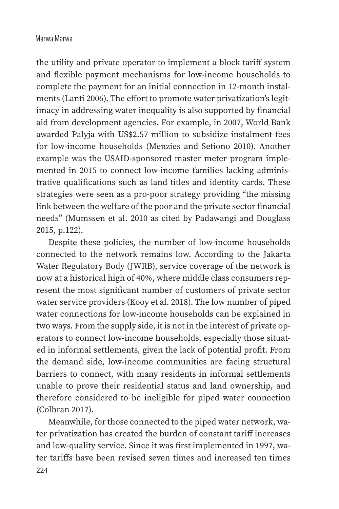the utility and private operator to implement a block tariff system and flexible payment mechanisms for low-income households to complete the payment for an initial connection in 12-month instalments (Lanti 2006). The effort to promote water privatization's legitimacy in addressing water inequality is also supported by financial aid from development agencies. For example, in 2007, World Bank awarded Palyja with US\$2.57 million to subsidize instalment fees for low-income households (Menzies and Setiono 2010). Another example was the USAID-sponsored master meter program implemented in 2015 to connect low-income families lacking administrative qualifications such as land titles and identity cards. These strategies were seen as a pro-poor strategy providing "the missing link between the welfare of the poor and the private sector financial needs" (Mumssen et al. 2010 as cited by Padawangi and Douglass 2015, p.122).

Despite these policies, the number of low-income households connected to the network remains low. According to the Jakarta Water Regulatory Body (JWRB), service coverage of the network is now at a historical high of 40%, where middle class consumers represent the most significant number of customers of private sector water service providers (Kooy et al. 2018). The low number of piped water connections for low-income households can be explained in two ways. From the supply side, it is not in the interest of private operators to connect low-income households, especially those situated in informal settlements, given the lack of potential profit. From the demand side, low-income communities are facing structural barriers to connect, with many residents in informal settlements unable to prove their residential status and land ownership, and therefore considered to be ineligible for piped water connection (Colbran 2017).

224 Meanwhile, for those connected to the piped water network, water privatization has created the burden of constant tariff increases and low-quality service. Since it was first implemented in 1997, water tariffs have been revised seven times and increased ten times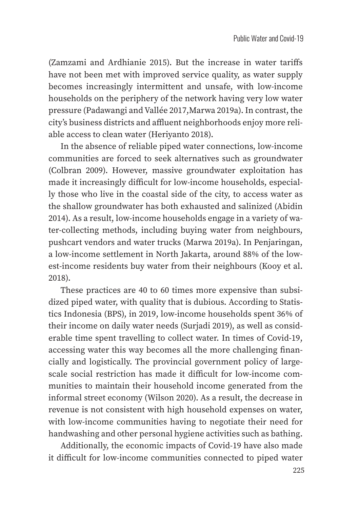(Zamzami and Ardhianie 2015). But the increase in water tariffs have not been met with improved service quality, as water supply becomes increasingly intermittent and unsafe, with low-income households on the periphery of the network having very low water pressure (Padawangi and Vallée 2017,Marwa 2019a). In contrast, the city's business districts and affluent neighborhoods enjoy more reliable access to clean water (Heriyanto 2018).

In the absence of reliable piped water connections, low-income communities are forced to seek alternatives such as groundwater (Colbran 2009). However, massive groundwater exploitation has made it increasingly difficult for low-income households, especially those who live in the coastal side of the city, to access water as the shallow groundwater has both exhausted and salinized (Abidin 2014). As a result, low-income households engage in a variety of water-collecting methods, including buying water from neighbours, pushcart vendors and water trucks (Marwa 2019a). In Penjaringan, a low-income settlement in North Jakarta, around 88% of the lowest-income residents buy water from their neighbours (Kooy et al. 2018).

These practices are 40 to 60 times more expensive than subsidized piped water, with quality that is dubious. According to Statistics Indonesia (BPS), in 2019, low-income households spent 36% of their income on daily water needs (Surjadi 2019), as well as considerable time spent travelling to collect water. In times of Covid-19, accessing water this way becomes all the more challenging financially and logistically. The provincial government policy of largescale social restriction has made it difficult for low-income communities to maintain their household income generated from the informal street economy (Wilson 2020). As a result, the decrease in revenue is not consistent with high household expenses on water, with low-income communities having to negotiate their need for handwashing and other personal hygiene activities such as bathing.

Additionally, the economic impacts of Covid-19 have also made it difficult for low-income communities connected to piped water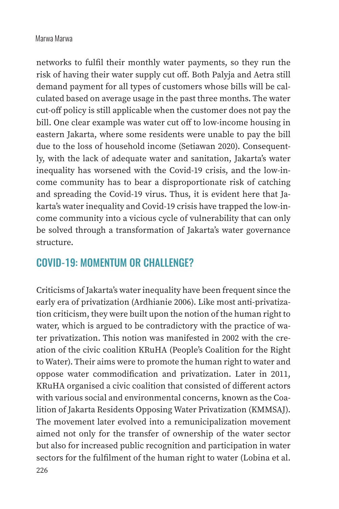networks to fulfil their monthly water payments, so they run the risk of having their water supply cut off. Both Palyja and Aetra still demand payment for all types of customers whose bills will be calculated based on average usage in the past three months. The water cut-off policy is still applicable when the customer does not pay the bill. One clear example was water cut off to low-income housing in eastern Jakarta, where some residents were unable to pay the bill due to the loss of household income (Setiawan 2020). Consequently, with the lack of adequate water and sanitation, Jakarta's water inequality has worsened with the Covid-19 crisis, and the low-income community has to bear a disproportionate risk of catching and spreading the Covid-19 virus. Thus, it is evident here that Jakarta's water inequality and Covid-19 crisis have trapped the low-income community into a vicious cycle of vulnerability that can only be solved through a transformation of Jakarta's water governance structure.

## COVID-19: MOMENTUM OR CHALLENGE?

Criticisms of Jakarta's water inequality have been frequent since the early era of privatization (Ardhianie 2006). Like most anti-privatization criticism, they were built upon the notion of the human right to water, which is argued to be contradictory with the practice of water privatization. This notion was manifested in 2002 with the creation of the civic coalition KRuHA (People's Coalition for the Right to Water). Their aims were to promote the human right to water and oppose water commodification and privatization. Later in 2011, KRuHA organised a civic coalition that consisted of different actors with various social and environmental concerns, known as the Coalition of Jakarta Residents Opposing Water Privatization (KMMSAJ). The movement later evolved into a remunicipalization movement aimed not only for the transfer of ownership of the water sector but also for increased public recognition and participation in water sectors for the fulfilment of the human right to water (Lobina et al.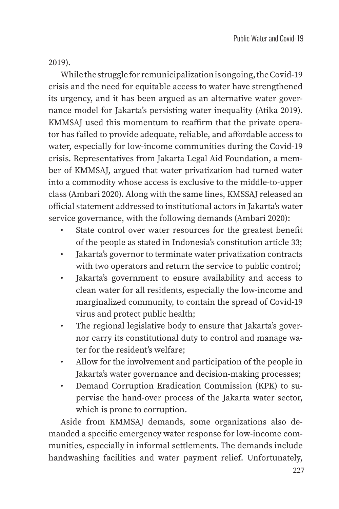2019).

While the struggle for remunicipalization is ongoing, the Covid-19 crisis and the need for equitable access to water have strengthened its urgency, and it has been argued as an alternative water governance model for Jakarta's persisting water inequality (Atika 2019). KMMSAJ used this momentum to reaffirm that the private operator has failed to provide adequate, reliable, and affordable access to water, especially for low-income communities during the Covid-19 crisis. Representatives from Jakarta Legal Aid Foundation, a member of KMMSAJ, argued that water privatization had turned water into a commodity whose access is exclusive to the middle-to-upper class (Ambari 2020). Along with the same lines, KMSSAJ released an official statement addressed to institutional actors in Jakarta's water service governance, with the following demands (Ambari 2020):

- State control over water resources for the greatest benefit of the people as stated in Indonesia's constitution article 33;
- Jakarta's governor to terminate water privatization contracts with two operators and return the service to public control;
- Jakarta's government to ensure availability and access to clean water for all residents, especially the low-income and marginalized community, to contain the spread of Covid-19 virus and protect public health;
- The regional legislative body to ensure that Jakarta's governor carry its constitutional duty to control and manage water for the resident's welfare;
- Allow for the involvement and participation of the people in Jakarta's water governance and decision-making processes;
- Demand Corruption Eradication Commission (KPK) to supervise the hand-over process of the Jakarta water sector, which is prone to corruption.

Aside from KMMSAJ demands, some organizations also demanded a specific emergency water response for low-income communities, especially in informal settlements. The demands include handwashing facilities and water payment relief. Unfortunately,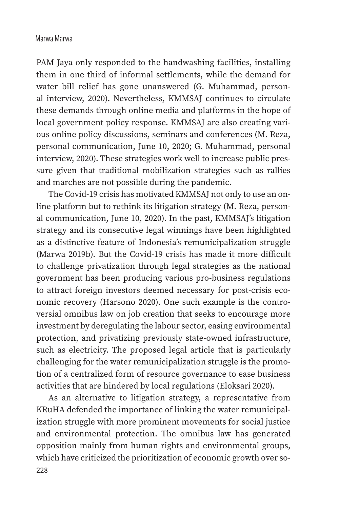PAM Jaya only responded to the handwashing facilities, installing them in one third of informal settlements, while the demand for water bill relief has gone unanswered (G. Muhammad, personal interview, 2020). Nevertheless, KMMSAJ continues to circulate these demands through online media and platforms in the hope of local government policy response. KMMSAJ are also creating various online policy discussions, seminars and conferences (M. Reza, personal communication, June 10, 2020; G. Muhammad, personal interview, 2020). These strategies work well to increase public pressure given that traditional mobilization strategies such as rallies and marches are not possible during the pandemic.

The Covid-19 crisis has motivated KMMSAJ not only to use an online platform but to rethink its litigation strategy (M. Reza, personal communication, June 10, 2020). In the past, KMMSAJ's litigation strategy and its consecutive legal winnings have been highlighted as a distinctive feature of Indonesia's remunicipalization struggle (Marwa 2019b). But the Covid-19 crisis has made it more difficult to challenge privatization through legal strategies as the national government has been producing various pro-business regulations to attract foreign investors deemed necessary for post-crisis economic recovery (Harsono 2020). One such example is the controversial omnibus law on job creation that seeks to encourage more investment by deregulating the labour sector, easing environmental protection, and privatizing previously state-owned infrastructure, such as electricity. The proposed legal article that is particularly challenging for the water remunicipalization struggle is the promotion of a centralized form of resource governance to ease business activities that are hindered by local regulations (Eloksari 2020).

As an alternative to litigation strategy, a representative from KRuHA defended the importance of linking the water remunicipalization struggle with more prominent movements for social justice and environmental protection. The omnibus law has generated opposition mainly from human rights and environmental groups, which have criticized the prioritization of economic growth over so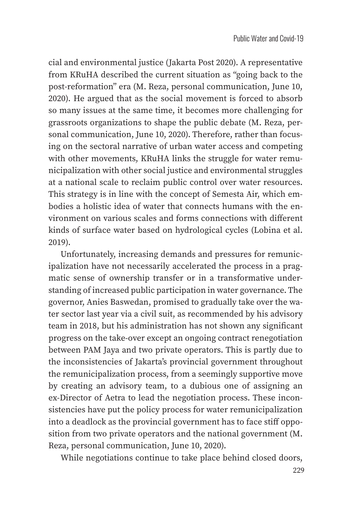cial and environmental justice (Jakarta Post 2020). A representative from KRuHA described the current situation as "going back to the post-reformation" era (M. Reza, personal communication, June 10, 2020). He argued that as the social movement is forced to absorb so many issues at the same time, it becomes more challenging for grassroots organizations to shape the public debate (M. Reza, personal communication, June 10, 2020). Therefore, rather than focusing on the sectoral narrative of urban water access and competing with other movements, KRuHA links the struggle for water remunicipalization with other social justice and environmental struggles at a national scale to reclaim public control over water resources. This strategy is in line with the concept of Semesta Air, which embodies a holistic idea of water that connects humans with the environment on various scales and forms connections with different kinds of surface water based on hydrological cycles (Lobina et al. 2019).

Unfortunately, increasing demands and pressures for remunicipalization have not necessarily accelerated the process in a pragmatic sense of ownership transfer or in a transformative understanding of increased public participation in water governance. The governor, Anies Baswedan, promised to gradually take over the water sector last year via a civil suit, as recommended by his advisory team in 2018, but his administration has not shown any significant progress on the take-over except an ongoing contract renegotiation between PAM Jaya and two private operators. This is partly due to the inconsistencies of Jakarta's provincial government throughout the remunicipalization process, from a seemingly supportive move by creating an advisory team, to a dubious one of assigning an ex-Director of Aetra to lead the negotiation process. These inconsistencies have put the policy process for water remunicipalization into a deadlock as the provincial government has to face stiff opposition from two private operators and the national government (M. Reza, personal communication, June 10, 2020).

While negotiations continue to take place behind closed doors,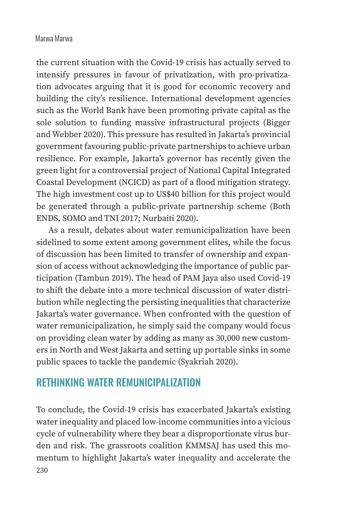the current situation with the Covid-19 crisis has actually served to intensify pressures in favour of privatization, with pro-privatization advocates arguing that it is good for economic recovery and building the city's resilience. International development agencies such as the World Bank have been promoting private capital as the sole solution to funding massive infrastructural projects (Bigger and Webber 2020). This pressure has resulted in Jakarta's provincial government favouring public-private partnerships to achieve urban resilience. For example, Jakarta's governor has recently given the green light for a controversial project of National Capital Integrated Coastal Development (NCICD) as part of a flood mitigation strategy. The high investment cost up to US\$40 billion for this project would be generated through a public-private partnership scheme (Both ENDS, SOMO and TNI 2017; Nurbaiti 2020).

As a result, debates about water remunicipalization have been sidelined to some extent among government elites, while the focus of discussion has been limited to transfer of ownership and expansion of access without acknowledging the importance of public participation (Tambun 2019). The head of PAM Jaya also used Covid-19 to shift the debate into a more technical discussion of water distribution while neglecting the persisting inequalities that characterize Jakarta's water governance. When confronted with the question of water remunicipalization, he simply said the company would focus on providing clean water by adding as many as 30,000 new customers in North and West Jakarta and setting up portable sinks in some public spaces to tackle the pandemic (Syakriah 2020).

## RETHINKING WATER REMUNICIPALIZATION

230 To conclude, the Covid-19 crisis has exacerbated Jakarta's existing water inequality and placed low-income communities into a vicious cycle of vulnerability where they bear a disproportionate virus burden and risk. The grassroots coalition KMMSAJ has used this momentum to highlight Jakarta's water inequality and accelerate the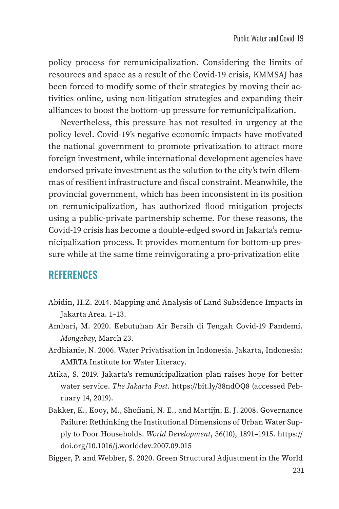policy process for remunicipalization. Considering the limits of resources and space as a result of the Covid-19 crisis, KMMSAJ has been forced to modify some of their strategies by moving their activities online, using non-litigation strategies and expanding their alliances to boost the bottom-up pressure for remunicipalization.

Nevertheless, this pressure has not resulted in urgency at the policy level. Covid-19's negative economic impacts have motivated the national government to promote privatization to attract more foreign investment, while international development agencies have endorsed private investment as the solution to the city's twin dilemmas of resilient infrastructure and fiscal constraint. Meanwhile, the provincial government, which has been inconsistent in its position on remunicipalization, has authorized flood mitigation projects using a public-private partnership scheme. For these reasons, the Covid-19 crisis has become a double-edged sword in Jakarta's remunicipalization process. It provides momentum for bottom-up pressure while at the same time reinvigorating a pro-privatization elite

## **REFERENCES**

- Abidin, H.Z. 2014. Mapping and Analysis of Land Subsidence Impacts in Jakarta Area. 1–13.
- Ambari, M. 2020. Kebutuhan Air Bersih di Tengah Covid-19 Pandemi. *Mongabay*, March 23.
- Ardhianie, N. 2006. Water Privatisation in Indonesia. Jakarta, Indonesia: AMRTA Institute for Water Literacy.
- Atika, S. 2019. Jakarta's remunicipalization plan raises hope for better water service. *The Jakarta Post*. https://bit.ly/38ndOQ8 (accessed February 14, 2019).
- Bakker, K., Kooy, M., Shofiani, N. E., and Martijn, E. J. 2008. Governance Failure: Rethinking the Institutional Dimensions of Urban Water Supply to Poor Households. *World Development*, 36(10), 1891–1915. https:// doi.org/10.1016/j.worlddev.2007.09.015
- Bigger, P. and Webber, S. 2020. Green Structural Adjustment in the World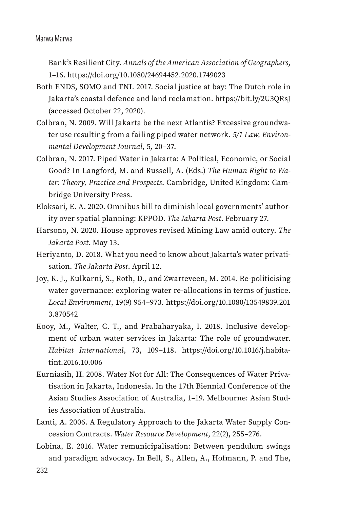Bank's Resilient City. *Annals of the American Association of Geographers*, 1–16. https://doi.org/10.1080/24694452.2020.1749023

- Both ENDS, SOMO and TNI. 2017. Social justice at bay: The Dutch role in Jakarta's coastal defence and land reclamation. https://bit.ly/2U3QRsJ (accessed October 22, 2020).
- Colbran, N. 2009. Will Jakarta be the next Atlantis? Excessive groundwater use resulting from a failing piped water network. *5/1 Law, Environmental Development Journal,* 5, 20–37.
- Colbran, N. 2017. Piped Water in Jakarta: A Political, Economic, or Social Good? In Langford, M. and Russell, A. (Eds.) *The Human Right to Water: Theory, Practice and Prospects*. Cambridge, United Kingdom: Cambridge University Press.
- Eloksari, E. A. 2020. Omnibus bill to diminish local governments' authority over spatial planning: KPPOD. *The Jakarta Post*. February 27.
- Harsono, N. 2020. House approves revised Mining Law amid outcry. *The Jakarta Post*. May 13.
- Heriyanto, D. 2018. What you need to know about Jakarta's water privatisation. *The Jakarta Post*. April 12.
- Joy, K. J., Kulkarni, S., Roth, D., and Zwarteveen, M. 2014. Re-politicising water governance: exploring water re-allocations in terms of justice. *Local Environment*, 19(9) 954–973. https://doi.org/10.1080/13549839.201 3.870542
- Kooy, M., Walter, C. T., and Prabaharyaka, I. 2018. Inclusive development of urban water services in Jakarta: The role of groundwater. *Habitat International*, 73, 109–118. https://doi.org/10.1016/j.habitatint.2016.10.006
- Kurniasih, H. 2008. Water Not for All: The Consequences of Water Privatisation in Jakarta, Indonesia. In the 17th Biennial Conference of the Asian Studies Association of Australia, 1–19. Melbourne: Asian Studies Association of Australia.
- Lanti, A. 2006. A Regulatory Approach to the Jakarta Water Supply Concession Contracts. *Water Resource Development*, 22(2), 255–276.
- Lobina, E. 2016. Water remunicipalisation: Between pendulum swings and paradigm advocacy. In Bell, S., Allen, A., Hofmann, P. and The,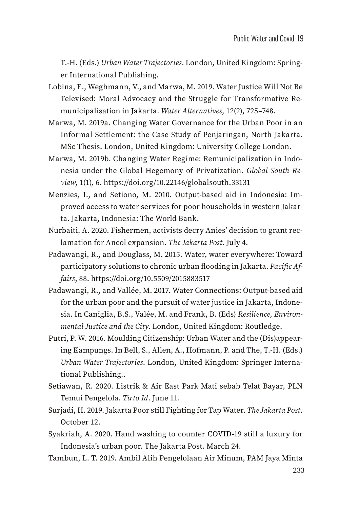T.-H. (Eds.) *Urban Water Trajectories*. London, United Kingdom: Springer International Publishing.

- Lobina, E., Weghmann, V., and Marwa, M. 2019. Water Justice Will Not Be Televised: Moral Advocacy and the Struggle for Transformative Remunicipalisation in Jakarta. *Water Alternatives*, 12(2), 725–748.
- Marwa, M. 2019a. Changing Water Governance for the Urban Poor in an Informal Settlement: the Case Study of Penjaringan, North Jakarta. MSc Thesis. London, United Kingdom: University College London.
- Marwa, M. 2019b. Changing Water Regime: Remunicipalization in Indonesia under the Global Hegemony of Privatization. *Global South Review*, 1(1), 6. https://doi.org/10.22146/globalsouth.33131
- Menzies, I., and Setiono, M. 2010. Output-based aid in Indonesia: Improved access to water services for poor households in western Jakarta. Jakarta, Indonesia: The World Bank.
- Nurbaiti, A. 2020. Fishermen, activists decry Anies' decision to grant reclamation for Ancol expansion. *The Jakarta Post*. July 4.
- Padawangi, R., and Douglass, M. 2015. Water, water everywhere: Toward participatory solutions to chronic urban flooding in Jakarta. *Pacific Affairs*, 88. https://doi.org/10.5509/2015883517
- Padawangi, R., and Vallée, M. 2017. Water Connections: Output-based aid for the urban poor and the pursuit of water justice in Jakarta, Indonesia. In Caniglia, B.S., Valée, M. and Frank, B. (Eds) *Resilience, Environmental Justice and the City*. London, United Kingdom: Routledge.
- Putri, P. W. 2016. Moulding Citizenship: Urban Water and the (Dis)appearing Kampungs. In Bell, S., Allen, A., Hofmann, P. and The, T.-H. (Eds.) *Urban Water Trajectories*. London, United Kingdom: Springer International Publishing..
- Setiawan, R. 2020. Listrik & Air East Park Mati sebab Telat Bayar, PLN Temui Pengelola. *Tirto.Id*. June 11.
- Surjadi, H. 2019. Jakarta Poor still Fighting for Tap Water. *The Jakarta Post*. October 12.
- Syakriah, A. 2020. Hand washing to counter COVID-19 still a luxury for Indonesia's urban poor. The Jakarta Post. March 24.
- Tambun, L. T. 2019. Ambil Alih Pengelolaan Air Minum, PAM Jaya Minta